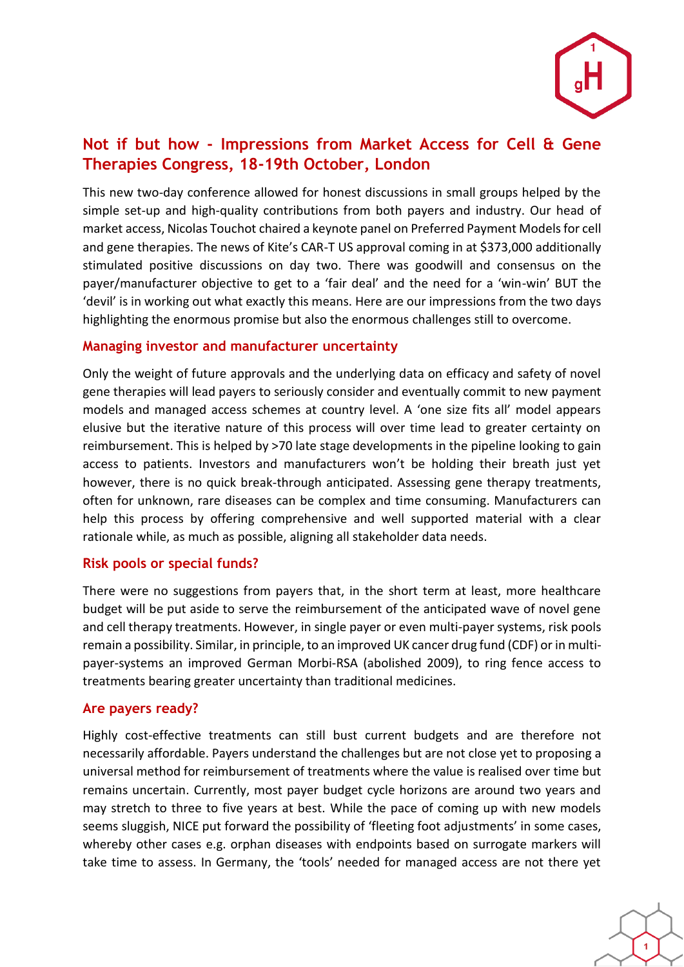

# **Not if but how - Impressions from Market Access for Cell & Gene Therapies Congress, 18-19th October, London**

This new two-day conference allowed for honest discussions in small groups helped by the simple set-up and high-quality contributions from both payers and industry. Our head of market access, Nicolas Touchot chaired a keynote panel on Preferred Payment Models for cell and gene therapies. The news of Kite's CAR-T US approval coming in at \$373,000 additionally stimulated positive discussions on day two. There was goodwill and consensus on the payer/manufacturer objective to get to a 'fair deal' and the need for a 'win-win' BUT the 'devil' is in working out what exactly this means. Here are our impressions from the two days highlighting the enormous promise but also the enormous challenges still to overcome.

#### **Managing investor and manufacturer uncertainty**

Only the weight of future approvals and the underlying data on efficacy and safety of novel gene therapies will lead payers to seriously consider and eventually commit to new payment models and managed access schemes at country level. A 'one size fits all' model appears elusive but the iterative nature of this process will over time lead to greater certainty on reimbursement. This is helped by >70 late stage developments in the pipeline looking to gain access to patients. Investors and manufacturers won't be holding their breath just yet however, there is no quick break-through anticipated. Assessing gene therapy treatments, often for unknown, rare diseases can be complex and time consuming. Manufacturers can help this process by offering comprehensive and well supported material with a clear rationale while, as much as possible, aligning all stakeholder data needs.

#### **Risk pools or special funds?**

There were no suggestions from payers that, in the short term at least, more healthcare budget will be put aside to serve the reimbursement of the anticipated wave of novel gene and cell therapy treatments. However, in single payer or even multi-payer systems, risk pools remain a possibility. Similar, in principle, to an improved UK cancer drug fund (CDF) or in multipayer-systems an improved German Morbi-RSA (abolished 2009), to ring fence access to treatments bearing greater uncertainty than traditional medicines.

#### **Are payers ready?**

Highly cost-effective treatments can still bust current budgets and are therefore not necessarily affordable. Payers understand the challenges but are not close yet to proposing a universal method for reimbursement of treatments where the value is realised over time but remains uncertain. Currently, most payer budget cycle horizons are around two years and may stretch to three to five years at best. While the pace of coming up with new models seems sluggish, NICE put forward the possibility of 'fleeting foot adjustments' in some cases, whereby other cases e.g. orphan diseases with endpoints based on surrogate markers will take time to assess. In Germany, the 'tools' needed for managed access are not there yet

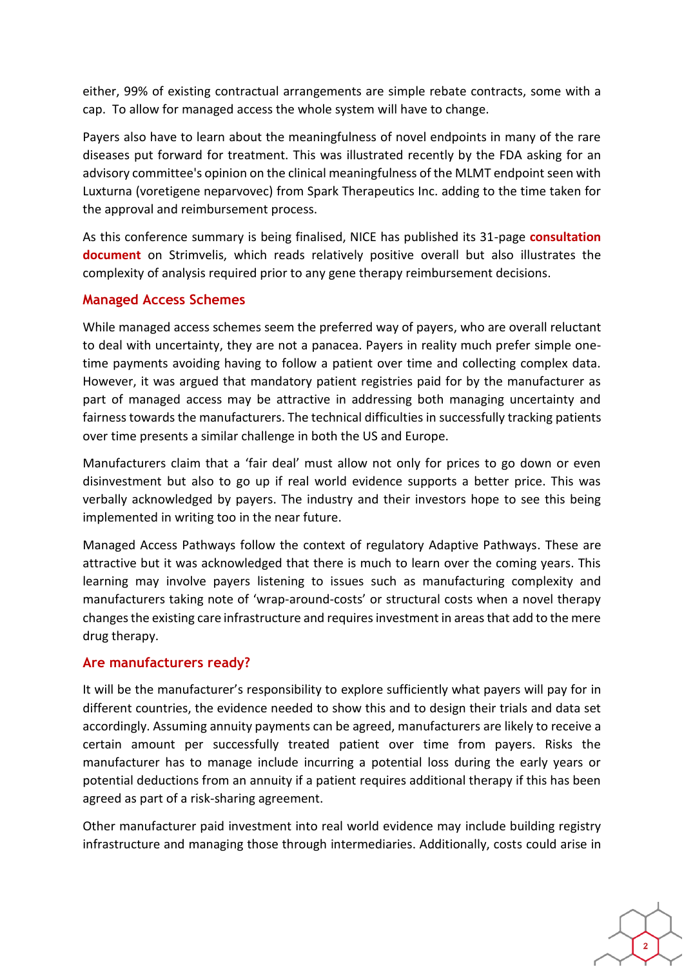either, 99% of existing contractual arrangements are simple rebate contracts, some with a cap. To allow for managed access the whole system will have to change.

Payers also have to learn about the meaningfulness of novel endpoints in many of the rare diseases put forward for treatment. This was illustrated recently by the FDA asking for an advisory committee's opinion on the clinical meaningfulness of the MLMT endpoint seen with Luxturna (voretigene neparvovec) from Spark Therapeutics Inc. adding to the time taken for the approval and reimbursement process.

As this conference summary is being finalised, NICE has published its 31-page **[consultation](https://www.nice.org.uk/guidance/GID-HST10005/documents/evaluation-consultation-document)  [document](https://www.nice.org.uk/guidance/GID-HST10005/documents/evaluation-consultation-document)** on Strimvelis, which reads relatively positive overall but also illustrates the complexity of analysis required prior to any gene therapy reimbursement decisions.

## **Managed Access Schemes**

While managed access schemes seem the preferred way of payers, who are overall reluctant to deal with uncertainty, they are not a panacea. Payers in reality much prefer simple onetime payments avoiding having to follow a patient over time and collecting complex data. However, it was argued that mandatory patient registries paid for by the manufacturer as part of managed access may be attractive in addressing both managing uncertainty and fairness towards the manufacturers. The technical difficulties in successfully tracking patients over time presents a similar challenge in both the US and Europe.

Manufacturers claim that a 'fair deal' must allow not only for prices to go down or even disinvestment but also to go up if real world evidence supports a better price. This was verbally acknowledged by payers. The industry and their investors hope to see this being implemented in writing too in the near future.

Managed Access Pathways follow the context of regulatory Adaptive Pathways. These are attractive but it was acknowledged that there is much to learn over the coming years. This learning may involve payers listening to issues such as manufacturing complexity and manufacturers taking note of 'wrap-around-costs' or structural costs when a novel therapy changes the existing care infrastructure and requires investment in areas that add to the mere drug therapy.

## **Are manufacturers ready?**

It will be the manufacturer's responsibility to explore sufficiently what payers will pay for in different countries, the evidence needed to show this and to design their trials and data set accordingly. Assuming annuity payments can be agreed, manufacturers are likely to receive a certain amount per successfully treated patient over time from payers. Risks the manufacturer has to manage include incurring a potential loss during the early years or potential deductions from an annuity if a patient requires additional therapy if this has been agreed as part of a risk-sharing agreement.

Other manufacturer paid investment into real world evidence may include building registry infrastructure and managing those through intermediaries. Additionally, costs could arise in